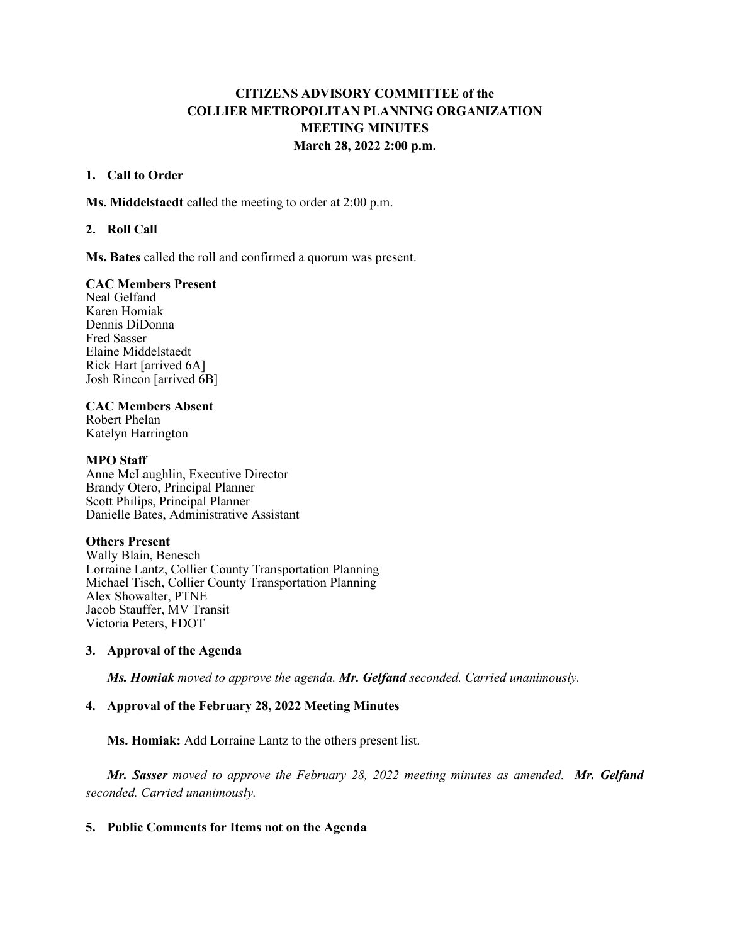# **CITIZENS ADVISORY COMMITTEE of the COLLIER METROPOLITAN PLANNING ORGANIZATION MEETING MINUTES March 28, 2022 2:00 p.m.**

#### **1. Call to Order**

**Ms. Middelstaedt** called the meeting to order at 2:00 p.m.

### **2. Roll Call**

**Ms. Bates** called the roll and confirmed a quorum was present.

### **CAC Members Present**

Neal Gelfand Karen Homiak Dennis DiDonna Fred Sasser Elaine Middelstaedt Rick Hart [arrived 6A] Josh Rincon [arrived 6B]

#### **CAC Members Absent**

Robert Phelan Katelyn Harrington

#### **MPO Staff**

Anne McLaughlin, Executive Director Brandy Otero, Principal Planner Scott Philips, Principal Planner Danielle Bates, Administrative Assistant

### **Others Present**

Wally Blain, Benesch Lorraine Lantz, Collier County Transportation Planning Michael Tisch, Collier County Transportation Planning Alex Showalter, PTNE Jacob Stauffer, MV Transit Victoria Peters, FDOT

### **3. Approval of the Agenda**

*Ms. Homiak moved to approve the agenda. Mr. Gelfand seconded. Carried unanimously.*

### **4. Approval of the February 28, 2022 Meeting Minutes**

**Ms. Homiak:** Add Lorraine Lantz to the others present list.

*Mr. Sasser moved to approve the February 28, 2022 meeting minutes as amended. Mr. Gelfand seconded. Carried unanimously.* 

#### **5. Public Comments for Items not on the Agenda**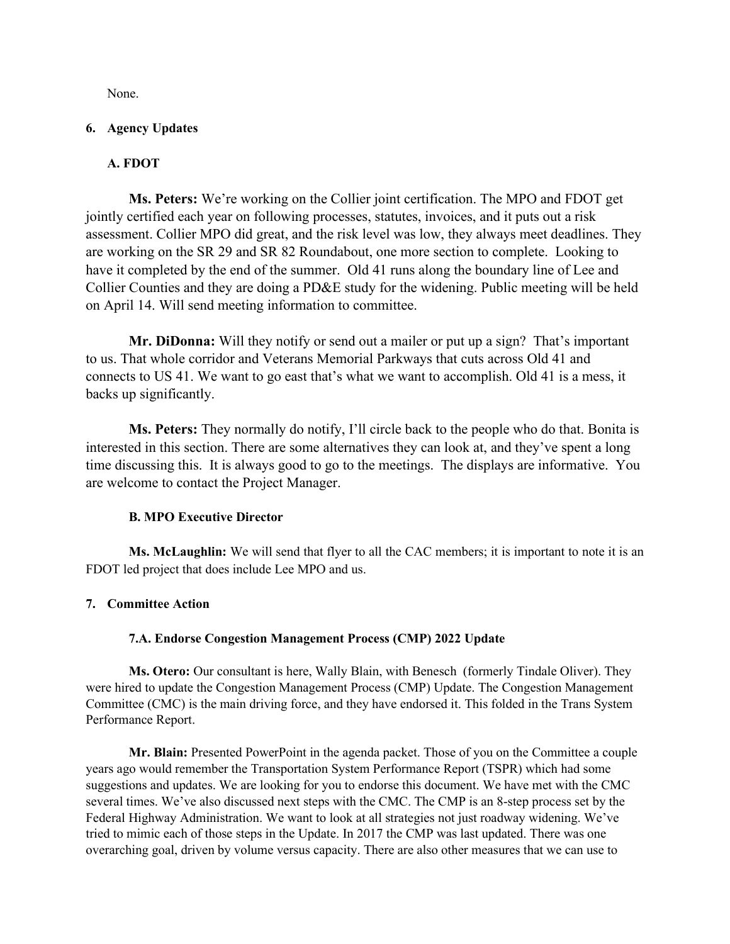None.

### **6. Agency Updates**

## **A. FDOT**

**Ms. Peters:** We're working on the Collier joint certification. The MPO and FDOT get jointly certified each year on following processes, statutes, invoices, and it puts out a risk assessment. Collier MPO did great, and the risk level was low, they always meet deadlines. They are working on the SR 29 and SR 82 Roundabout, one more section to complete. Looking to have it completed by the end of the summer. Old 41 runs along the boundary line of Lee and Collier Counties and they are doing a PD&E study for the widening. Public meeting will be held on April 14. Will send meeting information to committee.

**Mr. DiDonna:** Will they notify or send out a mailer or put up a sign? That's important to us. That whole corridor and Veterans Memorial Parkways that cuts across Old 41 and connects to US 41. We want to go east that's what we want to accomplish. Old 41 is a mess, it backs up significantly.

**Ms. Peters:** They normally do notify, I'll circle back to the people who do that. Bonita is interested in this section. There are some alternatives they can look at, and they've spent a long time discussing this. It is always good to go to the meetings. The displays are informative. You are welcome to contact the Project Manager.

### **B. MPO Executive Director**

**Ms. McLaughlin:** We will send that flyer to all the CAC members; it is important to note it is an FDOT led project that does include Lee MPO and us.

### **7. Committee Action**

### **7.A. Endorse Congestion Management Process (CMP) 2022 Update**

**Ms. Otero:** Our consultant is here, Wally Blain, with Benesch (formerly Tindale Oliver). They were hired to update the Congestion Management Process (CMP) Update. The Congestion Management Committee (CMC) is the main driving force, and they have endorsed it. This folded in the Trans System Performance Report.

**Mr. Blain:** Presented PowerPoint in the agenda packet. Those of you on the Committee a couple years ago would remember the Transportation System Performance Report (TSPR) which had some suggestions and updates. We are looking for you to endorse this document. We have met with the CMC several times. We've also discussed next steps with the CMC. The CMP is an 8-step process set by the Federal Highway Administration. We want to look at all strategies not just roadway widening. We've tried to mimic each of those steps in the Update. In 2017 the CMP was last updated. There was one overarching goal, driven by volume versus capacity. There are also other measures that we can use to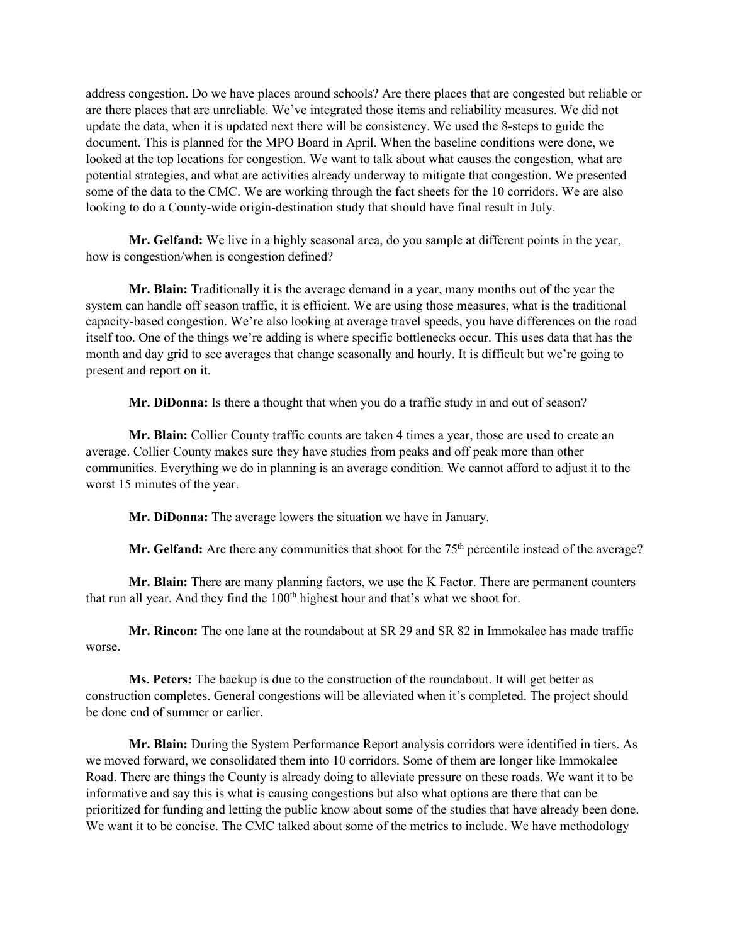address congestion. Do we have places around schools? Are there places that are congested but reliable or are there places that are unreliable. We've integrated those items and reliability measures. We did not update the data, when it is updated next there will be consistency. We used the 8-steps to guide the document. This is planned for the MPO Board in April. When the baseline conditions were done, we looked at the top locations for congestion. We want to talk about what causes the congestion, what are potential strategies, and what are activities already underway to mitigate that congestion. We presented some of the data to the CMC. We are working through the fact sheets for the 10 corridors. We are also looking to do a County-wide origin-destination study that should have final result in July.

**Mr. Gelfand:** We live in a highly seasonal area, do you sample at different points in the year, how is congestion/when is congestion defined?

**Mr. Blain:** Traditionally it is the average demand in a year, many months out of the year the system can handle off season traffic, it is efficient. We are using those measures, what is the traditional capacity-based congestion. We're also looking at average travel speeds, you have differences on the road itself too. One of the things we're adding is where specific bottlenecks occur. This uses data that has the month and day grid to see averages that change seasonally and hourly. It is difficult but we're going to present and report on it.

**Mr. DiDonna:** Is there a thought that when you do a traffic study in and out of season?

**Mr. Blain:** Collier County traffic counts are taken 4 times a year, those are used to create an average. Collier County makes sure they have studies from peaks and off peak more than other communities. Everything we do in planning is an average condition. We cannot afford to adjust it to the worst 15 minutes of the year.

**Mr. DiDonna:** The average lowers the situation we have in January.

Mr. Gelfand: Are there any communities that shoot for the 75<sup>th</sup> percentile instead of the average?

**Mr. Blain:** There are many planning factors, we use the K Factor. There are permanent counters that run all year. And they find the 100<sup>th</sup> highest hour and that's what we shoot for.

**Mr. Rincon:** The one lane at the roundabout at SR 29 and SR 82 in Immokalee has made traffic worse.

**Ms. Peters:** The backup is due to the construction of the roundabout. It will get better as construction completes. General congestions will be alleviated when it's completed. The project should be done end of summer or earlier.

**Mr. Blain:** During the System Performance Report analysis corridors were identified in tiers. As we moved forward, we consolidated them into 10 corridors. Some of them are longer like Immokalee Road. There are things the County is already doing to alleviate pressure on these roads. We want it to be informative and say this is what is causing congestions but also what options are there that can be prioritized for funding and letting the public know about some of the studies that have already been done. We want it to be concise. The CMC talked about some of the metrics to include. We have methodology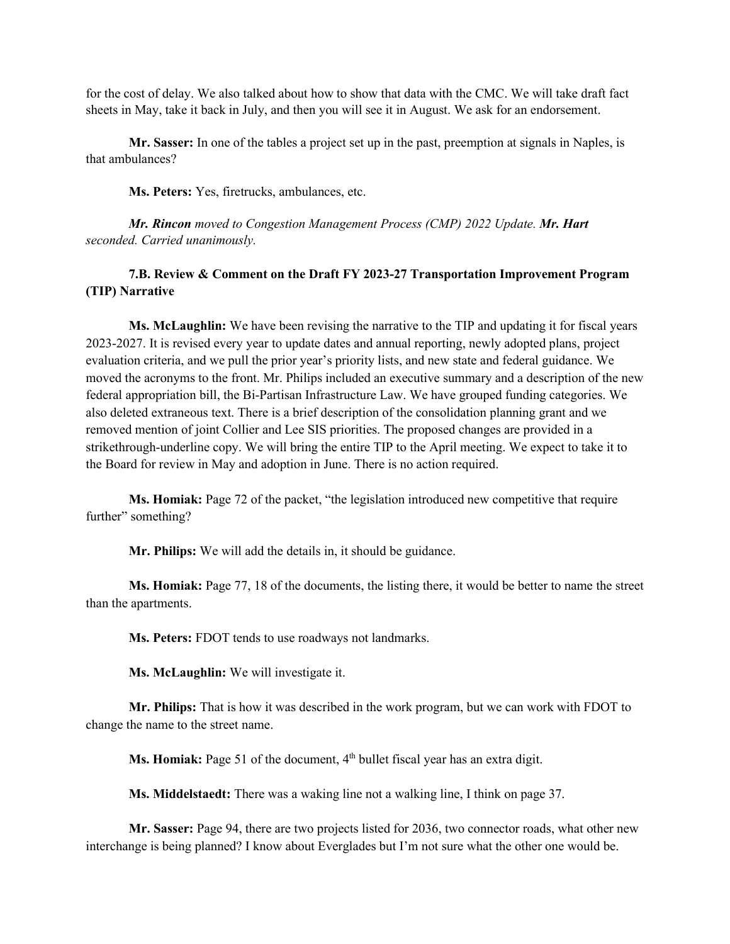for the cost of delay. We also talked about how to show that data with the CMC. We will take draft fact sheets in May, take it back in July, and then you will see it in August. We ask for an endorsement.

**Mr. Sasser:** In one of the tables a project set up in the past, preemption at signals in Naples, is that ambulances?

**Ms. Peters:** Yes, firetrucks, ambulances, etc.

*Mr. Rincon moved to Congestion Management Process (CMP) 2022 Update. Mr. Hart seconded. Carried unanimously.*

## **7.B. Review & Comment on the Draft FY 2023-27 Transportation Improvement Program (TIP) Narrative**

**Ms. McLaughlin:** We have been revising the narrative to the TIP and updating it for fiscal years 2023-2027. It is revised every year to update dates and annual reporting, newly adopted plans, project evaluation criteria, and we pull the prior year's priority lists, and new state and federal guidance. We moved the acronyms to the front. Mr. Philips included an executive summary and a description of the new federal appropriation bill, the Bi-Partisan Infrastructure Law. We have grouped funding categories. We also deleted extraneous text. There is a brief description of the consolidation planning grant and we removed mention of joint Collier and Lee SIS priorities. The proposed changes are provided in a strikethrough-underline copy. We will bring the entire TIP to the April meeting. We expect to take it to the Board for review in May and adoption in June. There is no action required.

**Ms. Homiak:** Page 72 of the packet, "the legislation introduced new competitive that require further" something?

**Mr. Philips:** We will add the details in, it should be guidance.

**Ms. Homiak:** Page 77, 18 of the documents, the listing there, it would be better to name the street than the apartments.

**Ms. Peters:** FDOT tends to use roadways not landmarks.

**Ms. McLaughlin:** We will investigate it.

**Mr. Philips:** That is how it was described in the work program, but we can work with FDOT to change the name to the street name.

**Ms. Homiak:** Page 51 of the document, 4<sup>th</sup> bullet fiscal year has an extra digit.

**Ms. Middelstaedt:** There was a waking line not a walking line, I think on page 37.

**Mr. Sasser:** Page 94, there are two projects listed for 2036, two connector roads, what other new interchange is being planned? I know about Everglades but I'm not sure what the other one would be.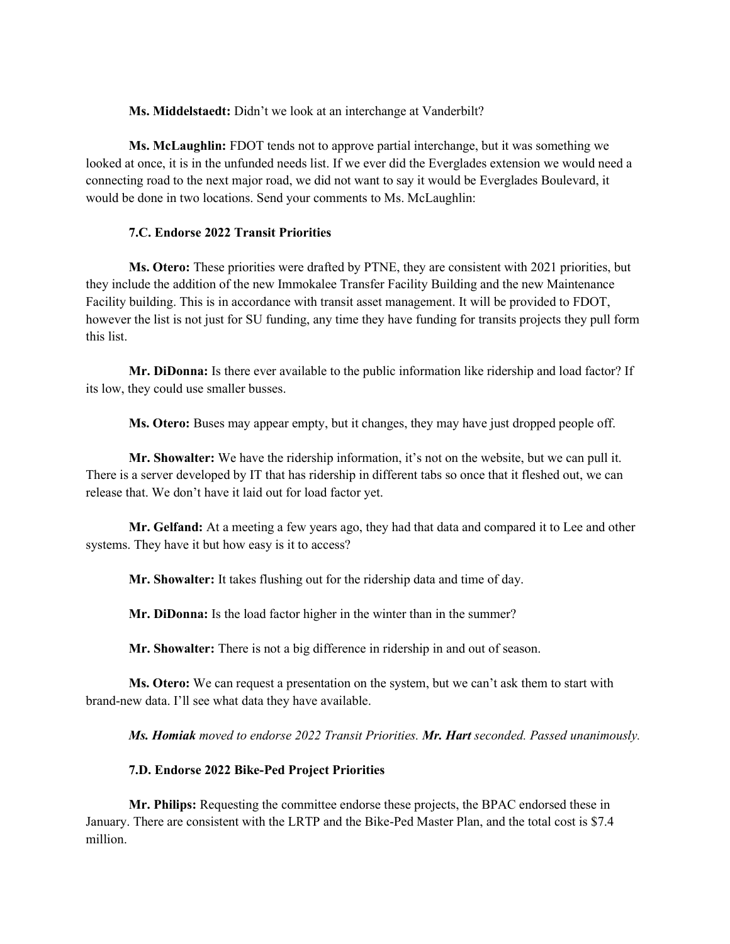**Ms. Middelstaedt:** Didn't we look at an interchange at Vanderbilt?

**Ms. McLaughlin:** FDOT tends not to approve partial interchange, but it was something we looked at once, it is in the unfunded needs list. If we ever did the Everglades extension we would need a connecting road to the next major road, we did not want to say it would be Everglades Boulevard, it would be done in two locations. Send your comments to Ms. McLaughlin:

#### **7.C. Endorse 2022 Transit Priorities**

**Ms. Otero:** These priorities were drafted by PTNE, they are consistent with 2021 priorities, but they include the addition of the new Immokalee Transfer Facility Building and the new Maintenance Facility building. This is in accordance with transit asset management. It will be provided to FDOT, however the list is not just for SU funding, any time they have funding for transits projects they pull form this list.

**Mr. DiDonna:** Is there ever available to the public information like ridership and load factor? If its low, they could use smaller busses.

**Ms. Otero:** Buses may appear empty, but it changes, they may have just dropped people off.

**Mr. Showalter:** We have the ridership information, it's not on the website, but we can pull it. There is a server developed by IT that has ridership in different tabs so once that it fleshed out, we can release that. We don't have it laid out for load factor yet.

**Mr. Gelfand:** At a meeting a few years ago, they had that data and compared it to Lee and other systems. They have it but how easy is it to access?

**Mr. Showalter:** It takes flushing out for the ridership data and time of day.

**Mr. DiDonna:** Is the load factor higher in the winter than in the summer?

**Mr. Showalter:** There is not a big difference in ridership in and out of season.

**Ms. Otero:** We can request a presentation on the system, but we can't ask them to start with brand-new data. I'll see what data they have available.

*Ms. Homiak moved to endorse 2022 Transit Priorities. Mr. Hart seconded. Passed unanimously.*

### **7.D. Endorse 2022 Bike-Ped Project Priorities**

**Mr. Philips:** Requesting the committee endorse these projects, the BPAC endorsed these in January. There are consistent with the LRTP and the Bike-Ped Master Plan, and the total cost is \$7.4 million.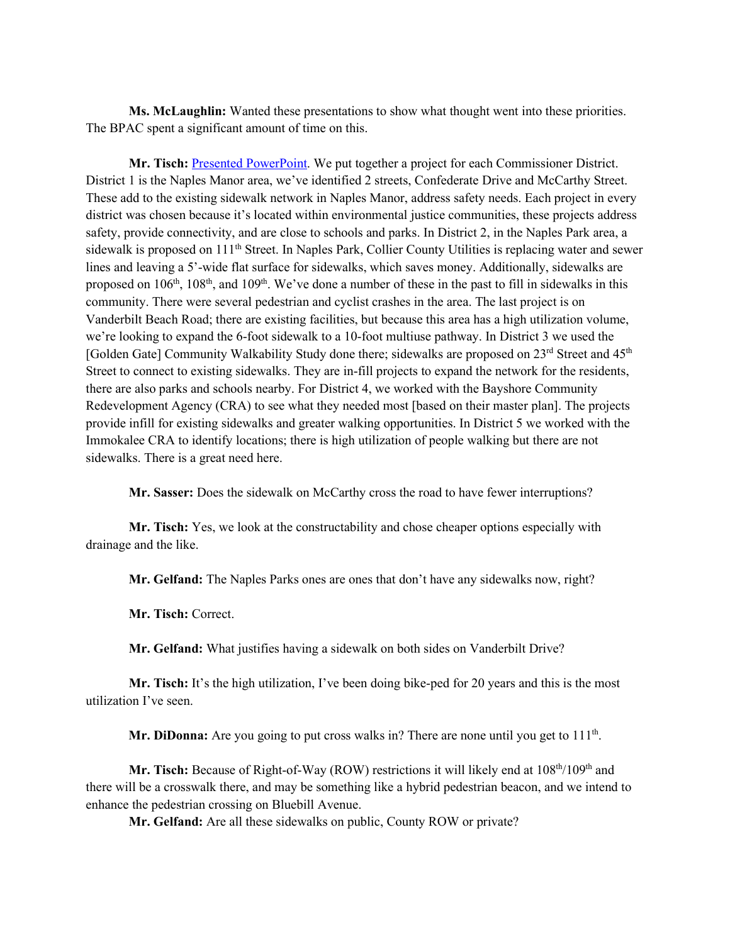**Ms. McLaughlin:** Wanted these presentations to show what thought went into these priorities. The BPAC spent a significant amount of time on this.

**Mr. Tisch:** [Presented PowerPoint.](https://www.colliermpo.org/wp-content/uploads/2022/03/MPO-BPAC-FDOT-Bike-Ped-FY27-Project-Presentation-Recommendations.pdf) We put together a project for each Commissioner District. District 1 is the Naples Manor area, we've identified 2 streets, Confederate Drive and McCarthy Street. These add to the existing sidewalk network in Naples Manor, address safety needs. Each project in every district was chosen because it's located within environmental justice communities, these projects address safety, provide connectivity, and are close to schools and parks. In District 2, in the Naples Park area, a sidewalk is proposed on 111<sup>th</sup> Street. In Naples Park, Collier County Utilities is replacing water and sewer lines and leaving a 5'-wide flat surface for sidewalks, which saves money. Additionally, sidewalks are proposed on 106<sup>th</sup>, 108<sup>th</sup>, and 109<sup>th</sup>. We've done a number of these in the past to fill in sidewalks in this community. There were several pedestrian and cyclist crashes in the area. The last project is on Vanderbilt Beach Road; there are existing facilities, but because this area has a high utilization volume, we're looking to expand the 6-foot sidewalk to a 10-foot multiuse pathway. In District 3 we used the [Golden Gate] Community Walkability Study done there; sidewalks are proposed on 23rd Street and 45<sup>th</sup> Street to connect to existing sidewalks. They are in-fill projects to expand the network for the residents, there are also parks and schools nearby. For District 4, we worked with the Bayshore Community Redevelopment Agency (CRA) to see what they needed most [based on their master plan]. The projects provide infill for existing sidewalks and greater walking opportunities. In District 5 we worked with the Immokalee CRA to identify locations; there is high utilization of people walking but there are not sidewalks. There is a great need here.

**Mr. Sasser:** Does the sidewalk on McCarthy cross the road to have fewer interruptions?

**Mr. Tisch:** Yes, we look at the constructability and chose cheaper options especially with drainage and the like.

**Mr. Gelfand:** The Naples Parks ones are ones that don't have any sidewalks now, right?

**Mr. Tisch:** Correct.

**Mr. Gelfand:** What justifies having a sidewalk on both sides on Vanderbilt Drive?

**Mr. Tisch:** It's the high utilization, I've been doing bike-ped for 20 years and this is the most utilization I've seen.

**Mr. DiDonna:** Are you going to put cross walks in? There are none until you get to  $111<sup>th</sup>$ .

**Mr. Tisch:** Because of Right-of-Way (ROW) restrictions it will likely end at  $108<sup>th</sup>/109<sup>th</sup>$  and there will be a crosswalk there, and may be something like a hybrid pedestrian beacon, and we intend to enhance the pedestrian crossing on Bluebill Avenue.

**Mr. Gelfand:** Are all these sidewalks on public, County ROW or private?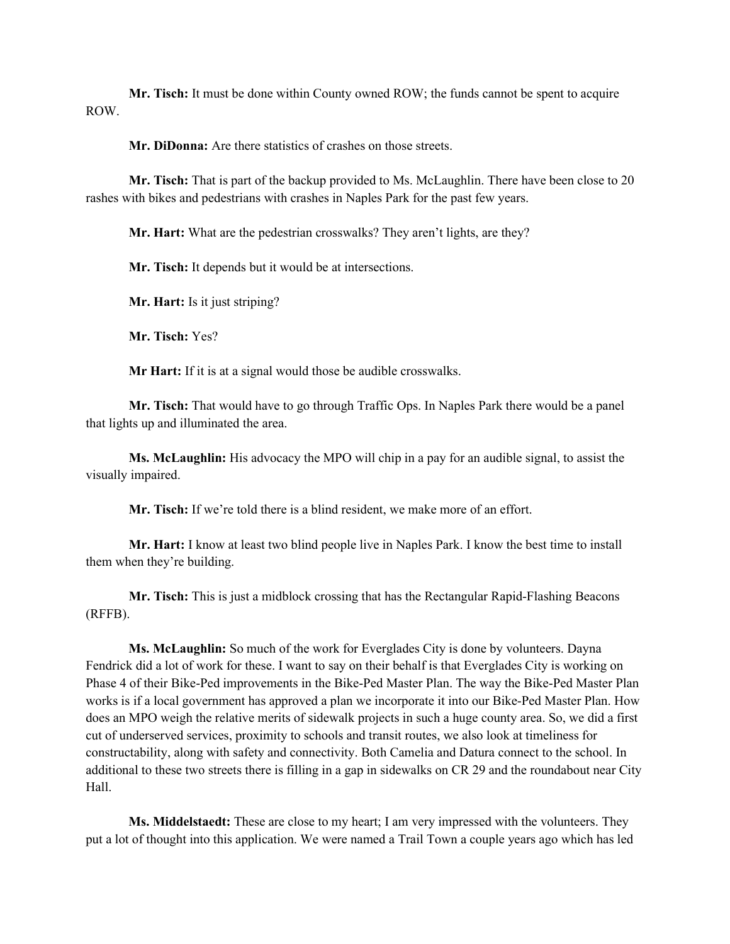**Mr. Tisch:** It must be done within County owned ROW; the funds cannot be spent to acquire ROW.

**Mr. DiDonna:** Are there statistics of crashes on those streets.

**Mr. Tisch:** That is part of the backup provided to Ms. McLaughlin. There have been close to 20 rashes with bikes and pedestrians with crashes in Naples Park for the past few years.

**Mr. Hart:** What are the pedestrian crosswalks? They aren't lights, are they?

**Mr. Tisch:** It depends but it would be at intersections.

**Mr. Hart:** Is it just striping?

**Mr. Tisch:** Yes?

**Mr Hart:** If it is at a signal would those be audible crosswalks.

**Mr. Tisch:** That would have to go through Traffic Ops. In Naples Park there would be a panel that lights up and illuminated the area.

**Ms. McLaughlin:** His advocacy the MPO will chip in a pay for an audible signal, to assist the visually impaired.

**Mr. Tisch:** If we're told there is a blind resident, we make more of an effort.

**Mr. Hart:** I know at least two blind people live in Naples Park. I know the best time to install them when they're building.

**Mr. Tisch:** This is just a midblock crossing that has the Rectangular Rapid-Flashing Beacons (RFFB).

**Ms. McLaughlin:** So much of the work for Everglades City is done by volunteers. Dayna Fendrick did a lot of work for these. I want to say on their behalf is that Everglades City is working on Phase 4 of their Bike-Ped improvements in the Bike-Ped Master Plan. The way the Bike-Ped Master Plan works is if a local government has approved a plan we incorporate it into our Bike-Ped Master Plan. How does an MPO weigh the relative merits of sidewalk projects in such a huge county area. So, we did a first cut of underserved services, proximity to schools and transit routes, we also look at timeliness for constructability, along with safety and connectivity. Both Camelia and Datura connect to the school. In additional to these two streets there is filling in a gap in sidewalks on CR 29 and the roundabout near City Hall.

**Ms. Middelstaedt:** These are close to my heart; I am very impressed with the volunteers. They put a lot of thought into this application. We were named a Trail Town a couple years ago which has led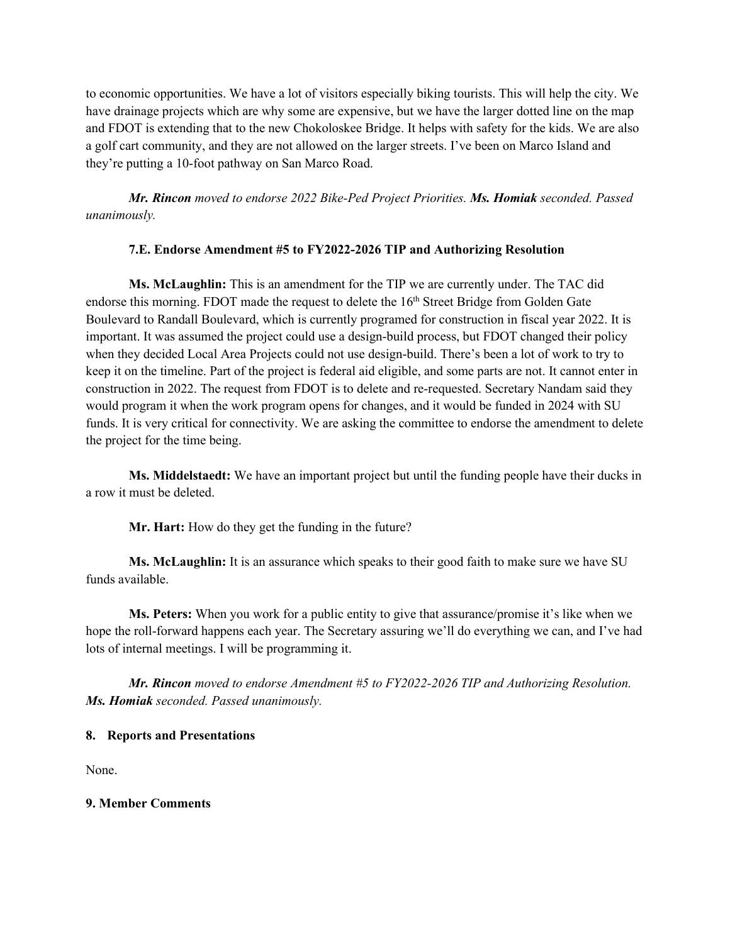to economic opportunities. We have a lot of visitors especially biking tourists. This will help the city. We have drainage projects which are why some are expensive, but we have the larger dotted line on the map and FDOT is extending that to the new Chokoloskee Bridge. It helps with safety for the kids. We are also a golf cart community, and they are not allowed on the larger streets. I've been on Marco Island and they're putting a 10-foot pathway on San Marco Road.

*Mr. Rincon moved to endorse 2022 Bike-Ped Project Priorities. Ms. Homiak seconded. Passed unanimously.*

## **7.E. Endorse Amendment #5 to FY2022-2026 TIP and Authorizing Resolution**

**Ms. McLaughlin:** This is an amendment for the TIP we are currently under. The TAC did endorse this morning. FDOT made the request to delete the 16<sup>th</sup> Street Bridge from Golden Gate Boulevard to Randall Boulevard, which is currently programed for construction in fiscal year 2022. It is important. It was assumed the project could use a design-build process, but FDOT changed their policy when they decided Local Area Projects could not use design-build. There's been a lot of work to try to keep it on the timeline. Part of the project is federal aid eligible, and some parts are not. It cannot enter in construction in 2022. The request from FDOT is to delete and re-requested. Secretary Nandam said they would program it when the work program opens for changes, and it would be funded in 2024 with SU funds. It is very critical for connectivity. We are asking the committee to endorse the amendment to delete the project for the time being.

**Ms. Middelstaedt:** We have an important project but until the funding people have their ducks in a row it must be deleted.

**Mr. Hart:** How do they get the funding in the future?

**Ms. McLaughlin:** It is an assurance which speaks to their good faith to make sure we have SU funds available.

**Ms. Peters:** When you work for a public entity to give that assurance/promise it's like when we hope the roll-forward happens each year. The Secretary assuring we'll do everything we can, and I've had lots of internal meetings. I will be programming it.

*Mr. Rincon moved to endorse Amendment #5 to FY2022-2026 TIP and Authorizing Resolution. Ms. Homiak seconded. Passed unanimously.*

### **8. Reports and Presentations**

None.

### **9. Member Comments**